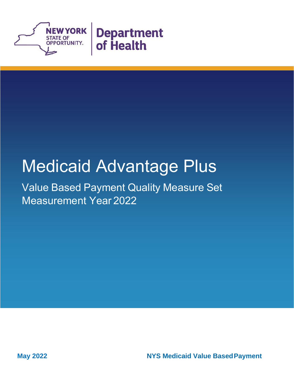

# Medicaid Advantage Plus

Value Based Payment Quality Measure Set Measurement Year 2022

**May 2022 NYS Medicaid Value BasedPayment**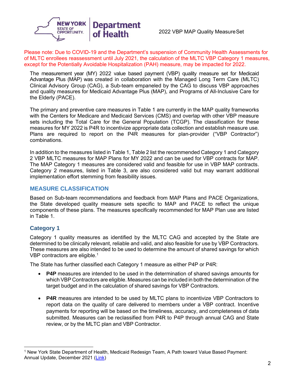

Please note: Due to COVID-19 and the Department's suspension of Community Health Assessments for of MLTC enrollees reassessment until July 2021, the calculation of the MLTC VBP Category 1 measures, except for the Potentially Avoidable Hospitalization (PAH) measure, may be impacted for 2022.

The measurement year (MY) 2022 value based payment (VBP) quality measure set for Medicaid Advantage Plus (MAP) was created in collaboration with the Managed Long Term Care (MLTC) Clinical Advisory Group (CAG), a Sub-team empaneled by the CAG to discuss VBP approaches and quality measures for Medicaid Advantage Plus (MAP), and Programs of All-Inclusive Care for the Elderly (PACE).

The primary and preventive care measures in Table 1 are currently in the MAP quality frameworks with the Centers for Medicare and Medicaid Services (CMS) and overlap with other VBP measure sets including the Total Care for the General Population (TCGP). The classification for these measures for MY 2022 is P4R to incentivize appropriate data collection and establish measure use. Plans are required to report on the P4R measures for plan-provider ("VBP Contractor") combinations.

In addition to the measures listed in Table 1, Table 2 list the recommended Category 1 and Category 2 VBP MLTC measures for MAP Plans for MY 2022 and can be used for VBP contracts for MAP. The MAP Category 1 measures are considered valid and feasible for use in VBP MAP contracts. Category 2 measures, listed in Table 3, are also considered valid but may warrant additional implementation effort stemming from feasibility issues.

#### **MEASURE CLASSIFICATION**

Based on Sub-team recommendations and feedback from MAP Plans and PACE Organizations, the State developed quality measure sets specific to MAP and PACE to reflect the unique components of these plans. The measures specifically recommended for MAP Plan use are listed in Table 1.

#### **Category 1**

Category 1 quality measures as identified by the MLTC CAG and accepted by the State are determined to be clinically relevant, reliable and valid, and also feasible for use by VBP Contractors. These measures are also intended to be used to determine the amount of shared savings for which VBP contractors are eligible.<sup>1</sup>

The State has further classified each Category 1 measure as either P4P or P4R:

- **P4P** measures are intended to be used in the determination of shared savings amounts for which VBP Contractors are eligible. Measures can be included in both the determination of the target budget and in the calculation of shared savings for VBP Contractors.
- **P4R** measures are intended to be used by MLTC plans to incentivize VBP Contractors to report data on the quality of care delivered to members under a VBP contract. Incentive payments for reporting will be based on the timeliness, accuracy, and completeness of data submitted. Measures can be reclassified from P4R to P4P through annual CAG and State review, or by the MLTC plan and VBP Contractor.

<sup>1</sup> New York State Department of Health, Medicaid Redesign Team, A Path toward Value Based Payment: Annual Update, December 2021 [\(Link\)](https://health.ny.gov/health_care/medicaid/redesign/vbp/roadmaps/docs/updated_vbp_roadmap.pdf)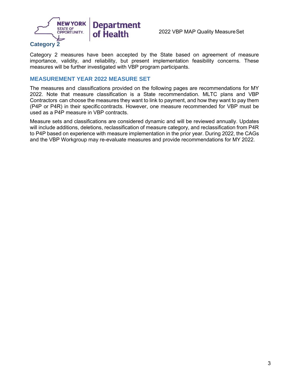

Category 2 measures have been accepted by the State based on agreement of measure importance, validity, and reliability, but present implementation feasibility concerns. These measures will be further investigated with VBP program participants.

#### **MEASUREMENT YEAR 2022 MEASURE SET**

The measures and classifications provided on the following pages are recommendations for MY 2022. Note that measure classification is a State recommendation. MLTC plans and VBP Contractors can choose the measures they want to link to payment, and how they want to pay them (P4P or P4R) in their specific contracts. However, one measure recommended for VBP must be used as a P4P measure in VBP contracts.

Measure sets and classifications are considered dynamic and will be reviewed annually. Updates will include additions, deletions, reclassification of measure category, and reclassification from P4R to P4P based on experience with measure implementation in the prior year. During 2022, the CAGs and the VBP Workgroup may re-evaluate measures and provide recommendations for MY 2022.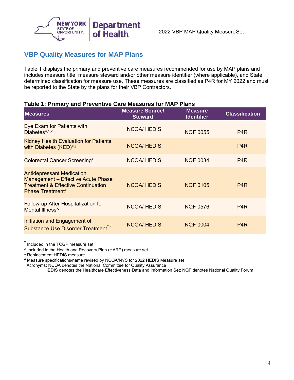

## **VBP Quality Measures for MAP Plans**

Table 1 displays the primary and preventive care measures recommended for use by MAP plans and includes measure title, measure steward and/or other measure identifier (where applicable), and State determined classification for measure use. These measures are classified as P4R for MY 2022 and must be reported to the State by the plans for their VBP Contractors.

#### **Table 1: Primary and Preventive Care Measures for MAP Plans**

| <b>Measures</b>                                                                                                                                    | <b>Measure Source/</b><br><b>Steward</b> | <b>Measure</b><br><b>Identifier</b> | <b>Classification</b> |
|----------------------------------------------------------------------------------------------------------------------------------------------------|------------------------------------------|-------------------------------------|-----------------------|
| Eye Exam for Patients with<br>Diabetes $*1,2$                                                                                                      | <b>NCQA/HEDIS</b>                        | <b>NQF 0055</b>                     | P <sub>4</sub> R      |
| <b>Kidney Health Evaluation for Patients</b><br>with Diabetes (KED)*,1                                                                             | <b>NCQA/HEDIS</b>                        |                                     | P <sub>4</sub> R      |
| <b>Colorectal Cancer Screening*</b>                                                                                                                | <b>NCQA/HEDIS</b>                        | <b>NQF 0034</b>                     | P <sub>4</sub> R      |
| <b>Antidepressant Medication</b><br>Management - Effective Acute Phase<br><b>Treatment &amp; Effective Continuation</b><br><b>Phase Treatment*</b> | <b>NCQA/HEDIS</b>                        | <b>NQF 0105</b>                     | P <sub>4</sub> R      |
| Follow-up After Hospitalization for<br>Mental Illness <sup>^</sup>                                                                                 | <b>NCQA/HEDIS</b>                        | <b>NQF 0576</b>                     | P <sub>4</sub> R      |
| Initiation and Engagement of<br>Substance Use Disorder Treatment <sup>*,2</sup>                                                                    | <b>NCQA/HEDIS</b>                        | <b>NQF 0004</b>                     | P <sub>4</sub> R      |

\* Included in the TCGP measure set

^ Included in the Health and Recovery Plan (HARP) measure set

<sup>1</sup> Replacement HEDIS measure

<sup>2</sup> Measure specifications/name revised by NCQA/NYS for 2022 HEDIS Measure set

Acronyms: NCQA denotes the National Committee for Quality Assurance

HEDIS denotes the Healthcare Effectiveness Data and Information Set; NQF denotes National Quality Forum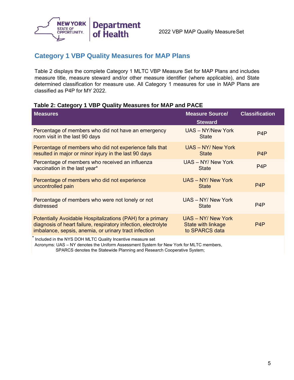

### **Category 1 VBP Quality Measures for MAP Plans**

Table 2 displays the complete Category 1 MLTC VBP Measure Set for MAP Plans and includes measure title, measure steward and/or other measure identifier (where applicable), and State determined classification for measure use. All Category 1 measures for use in MAP Plans are classified as P4P for MY 2022.

#### **Table 2: Category 1 VBP Quality Measures for MAP and PACE**

| <b>Measures</b>                                                                                                                                                                       | <b>Measure Source/</b><br><b>Steward</b>                   | <b>Classification</b> |
|---------------------------------------------------------------------------------------------------------------------------------------------------------------------------------------|------------------------------------------------------------|-----------------------|
| Percentage of members who did not have an emergency<br>room visit in the last 90 days                                                                                                 | UAS - NY/New York<br><b>State</b>                          | P <sub>4</sub> P      |
| Percentage of members who did not experience falls that<br>resulted in major or minor injury in the last 90 days                                                                      | UAS - NY/ New York<br><b>State</b>                         | P <sub>4</sub> P      |
| Percentage of members who received an influenza<br>vaccination in the last year*                                                                                                      | UAS - NY/ New York<br><b>State</b>                         | P <sub>4</sub> P      |
| Percentage of members who did not experience<br>uncontrolled pain                                                                                                                     | <b>UAS - NY/ New York</b><br><b>State</b>                  | P <sub>4</sub> P      |
| Percentage of members who were not lonely or not<br>distressed                                                                                                                        | UAS - NY/ New York<br><b>State</b>                         | P <sub>4</sub> P      |
| Potentially Avoidable Hospitalizations (PAH) for a primary<br>diagnosis of heart failure, respiratory infection, electrolyte<br>imbalance, sepsis, anemia, or urinary tract infection | UAS - NY/ New York<br>State with linkage<br>to SPARCS data | P <sub>4</sub> P      |
| *<br>in the company of the company of the company of the company of the company of the company of the company of the                                                                  |                                                            |                       |

Included in the NYS DOH MLTC Quality Incentive measure set

 Acronyms: UAS – NY denotes the Uniform Assessment System for New York for MLTC members, SPARCS denotes the Statewide Planning and Research Cooperative System;